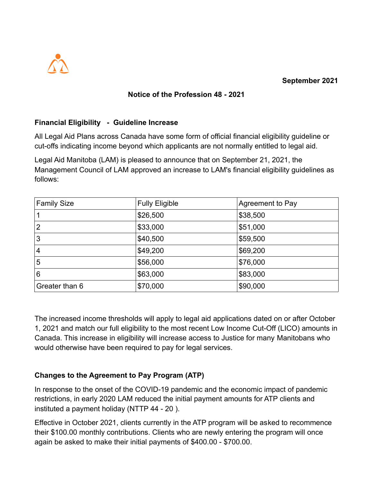

## **Notice of the Profession 48 - 2021**

## **Financial Eligibility - Guideline Increase**

All Legal Aid Plans across Canada have some form of official financial eligibility guideline or cut-offs indicating income beyond which applicants are not normally entitled to legal aid.

Legal Aid Manitoba (LAM) is pleased to announce that on September 21, 2021, the Management Council of LAM approved an increase to LAM's financial eligibility guidelines as follows:

| <b>Family Size</b> | <b>Fully Eligible</b> | Agreement to Pay |
|--------------------|-----------------------|------------------|
|                    | \$26,500              | \$38,500         |
| $\overline{2}$     | \$33,000              | \$51,000         |
| 3                  | \$40,500              | \$59,500         |
| 4                  | \$49,200              | \$69,200         |
| 5                  | \$56,000              | \$76,000         |
| 6                  | \$63,000              | \$83,000         |
| Greater than 6     | \$70,000              | \$90,000         |

The increased income thresholds will apply to legal aid applications dated on or after October 1, 2021 and match our full eligibility to the most recent Low Income Cut-Off (LICO) amounts in Canada. This increase in eligibility will increase access to Justice for many Manitobans who would otherwise have been required to pay for legal services.

## **Changes to the Agreement to Pay Program (ATP)**

In response to the onset of the COVID-19 pandemic and the economic impact of pandemic restrictions, in early 2020 LAM reduced the initial payment amounts for ATP clients and instituted a payment holiday (NTTP 44 - 20 ).

Effective in October 2021, clients currently in the ATP program will be asked to recommence their \$100.00 monthly contributions. Clients who are newly entering the program will once again be asked to make their initial payments of \$400.00 - \$700.00.